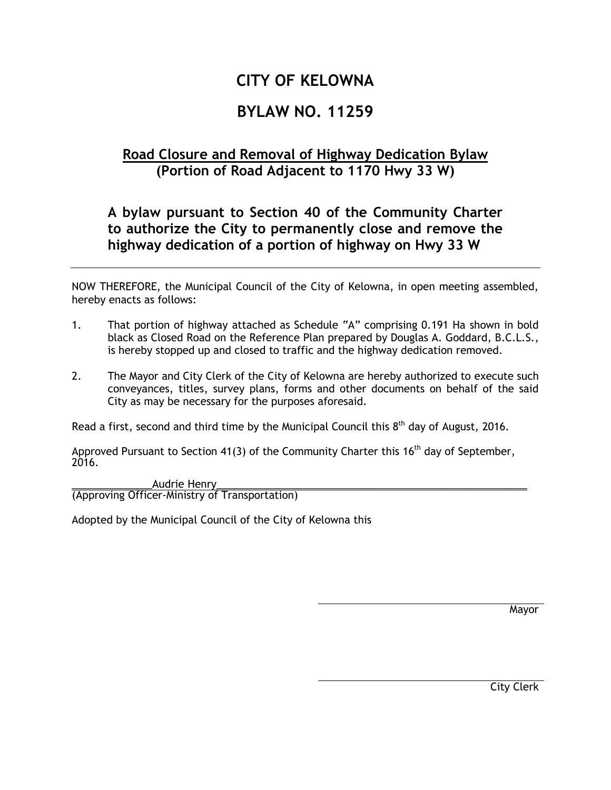## **CITY OF KELOWNA**

## **BYLAW NO. 11259**

## **Road Closure and Removal of Highway Dedication Bylaw (Portion of Road Adjacent to 1170 Hwy 33 W)**

## **A bylaw pursuant to Section 40 of the Community Charter to authorize the City to permanently close and remove the highway dedication of a portion of highway on Hwy 33 W**

NOW THEREFORE, the Municipal Council of the City of Kelowna, in open meeting assembled, hereby enacts as follows:

- 1. That portion of highway attached as Schedule "A" comprising 0.191 Ha shown in bold black as Closed Road on the Reference Plan prepared by Douglas A. Goddard, B.C.L.S., is hereby stopped up and closed to traffic and the highway dedication removed.
- 2. The Mayor and City Clerk of the City of Kelowna are hereby authorized to execute such conveyances, titles, survey plans, forms and other documents on behalf of the said City as may be necessary for the purposes aforesaid.

Read a first, second and third time by the Municipal Council this  $8<sup>th</sup>$  day of August, 2016.

Approved Pursuant to Section 41(3) of the Community Charter this 16<sup>th</sup> day of September, 2016.

Audrie Henry (Approving Officer-Ministry of Transportation)

Adopted by the Municipal Council of the City of Kelowna this

Mayor

City Clerk